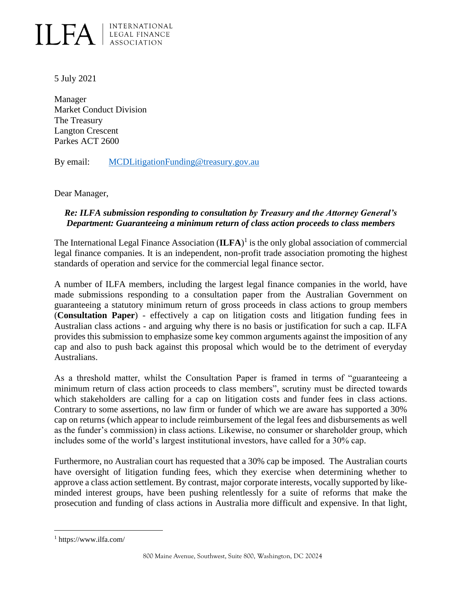

5 July 2021

Manager Market Conduct Division The Treasury Langton Crescent Parkes ACT 2600

By email: [MCDLitigationFunding@treasury.gov.au](mailto:MCDLitigationFunding@treasury.gov.au)

Dear Manager,

## *Re: ILFA submission responding to consultation by Treasury and the Attorney General's Department: Guaranteeing a minimum return of class action proceeds to class members*

The International Legal Finance Association (**ILFA**) 1 is the only global association of commercial legal finance companies. It is an independent, non-profit trade association promoting the highest standards of operation and service for the commercial legal finance sector.

A number of ILFA members, including the largest legal finance companies in the world, have made submissions responding to a consultation paper from the Australian Government on guaranteeing a statutory minimum return of gross proceeds in class actions to group members (**Consultation Paper**) - effectively a cap on litigation costs and litigation funding fees in Australian class actions - and arguing why there is no basis or justification for such a cap. ILFA provides this submission to emphasize some key common arguments against the imposition of any cap and also to push back against this proposal which would be to the detriment of everyday Australians.

As a threshold matter, whilst the Consultation Paper is framed in terms of "guaranteeing a minimum return of class action proceeds to class members", scrutiny must be directed towards which stakeholders are calling for a cap on litigation costs and funder fees in class actions. Contrary to some assertions, no law firm or funder of which we are aware has supported a 30% cap on returns (which appear to include reimbursement of the legal fees and disbursements as well as the funder's commission) in class actions. Likewise, no consumer or shareholder group, which includes some of the world's largest institutional investors, have called for a 30% cap.

Furthermore, no Australian court has requested that a 30% cap be imposed. The Australian courts have oversight of litigation funding fees, which they exercise when determining whether to approve a class action settlement. By contrast, major corporate interests, vocally supported by likeminded interest groups, have been pushing relentlessly for a suite of reforms that make the prosecution and funding of class actions in Australia more difficult and expensive. In that light,

<sup>1</sup> https://www.ilfa.com/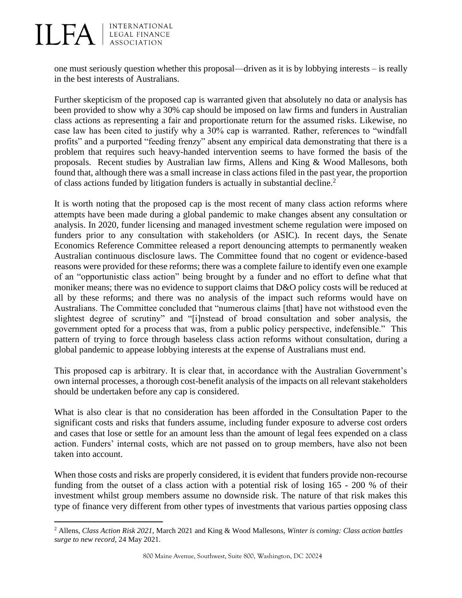

one must seriously question whether this proposal—driven as it is by lobbying interests – is really in the best interests of Australians.

Further skepticism of the proposed cap is warranted given that absolutely no data or analysis has been provided to show why a 30% cap should be imposed on law firms and funders in Australian class actions as representing a fair and proportionate return for the assumed risks. Likewise, no case law has been cited to justify why a 30% cap is warranted. Rather, references to "windfall profits" and a purported "feeding frenzy" absent any empirical data demonstrating that there is a problem that requires such heavy-handed intervention seems to have formed the basis of the proposals. Recent studies by Australian law firms, Allens and King & Wood Mallesons, both found that, although there was a small increase in class actions filed in the past year, the proportion of class actions funded by litigation funders is actually in substantial decline.<sup>2</sup>

It is worth noting that the proposed cap is the most recent of many class action reforms where attempts have been made during a global pandemic to make changes absent any consultation or analysis. In 2020, funder licensing and managed investment scheme regulation were imposed on funders prior to any consultation with stakeholders (or ASIC). In recent days, the Senate Economics Reference Committee released a report denouncing attempts to permanently weaken Australian continuous disclosure laws. The Committee found that no cogent or evidence-based reasons were provided for these reforms; there was a complete failure to identify even one example of an "opportunistic class action" being brought by a funder and no effort to define what that moniker means; there was no evidence to support claims that D&O policy costs will be reduced at all by these reforms; and there was no analysis of the impact such reforms would have on Australians. The Committee concluded that "numerous claims [that] have not withstood even the slightest degree of scrutiny" and "[i]nstead of broad consultation and sober analysis, the government opted for a process that was, from a public policy perspective, indefensible." This pattern of trying to force through baseless class action reforms without consultation, during a global pandemic to appease lobbying interests at the expense of Australians must end.

This proposed cap is arbitrary. It is clear that, in accordance with the Australian Government's own internal processes, a thorough cost-benefit analysis of the impacts on all relevant stakeholders should be undertaken before any cap is considered.

What is also clear is that no consideration has been afforded in the Consultation Paper to the significant costs and risks that funders assume, including funder exposure to adverse cost orders and cases that lose or settle for an amount less than the amount of legal fees expended on a class action. Funders' internal costs, which are not passed on to group members, have also not been taken into account.

When those costs and risks are properly considered, it is evident that funders provide non-recourse funding from the outset of a class action with a potential risk of losing 165 - 200 % of their investment whilst group members assume no downside risk. The nature of that risk makes this type of finance very different from other types of investments that various parties opposing class

<sup>2</sup> Allens, *Class Action Risk 2021,* March 2021 and King & Wood Mallesons, *Winter is coming: Class action battles surge to new record,* 24 May 2021*.*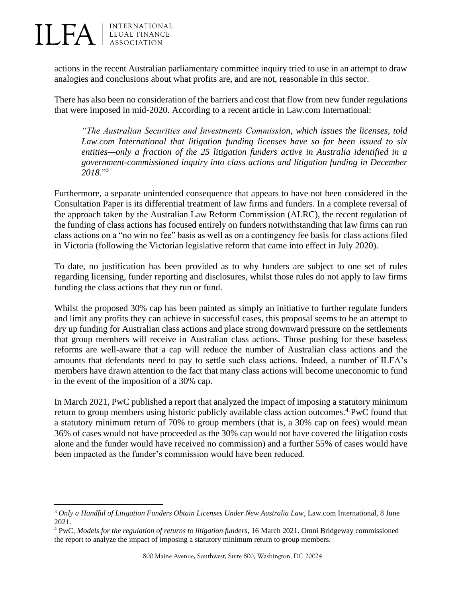**ILFA** EGAL FINANCE

actions in the recent Australian parliamentary committee inquiry tried to use in an attempt to draw analogies and conclusions about what profits are, and are not, reasonable in this sector.

There has also been no consideration of the barriers and cost that flow from new funder regulations that were imposed in mid-2020. According to a recent article in Law.com International:

*"The Australian Securities and Investments Commission, which issues the licenses, told Law.com International that litigation funding licenses have so far been issued to six entities—only a fraction of the 25 litigation funders active in Australia identified in a government-commissioned inquiry into class actions and litigation funding in December 2018*."<sup>3</sup>

Furthermore, a separate unintended consequence that appears to have not been considered in the Consultation Paper is its differential treatment of law firms and funders. In a complete reversal of the approach taken by the Australian Law Reform Commission (ALRC), the recent regulation of the funding of class actions has focused entirely on funders notwithstanding that law firms can run class actions on a "no win no fee" basis as well as on a contingency fee basis for class actions filed in Victoria (following the Victorian legislative reform that came into effect in July 2020).

To date, no justification has been provided as to why funders are subject to one set of rules regarding licensing, funder reporting and disclosures, whilst those rules do not apply to law firms funding the class actions that they run or fund.

Whilst the proposed 30% cap has been painted as simply an initiative to further regulate funders and limit any profits they can achieve in successful cases, this proposal seems to be an attempt to dry up funding for Australian class actions and place strong downward pressure on the settlements that group members will receive in Australian class actions. Those pushing for these baseless reforms are well-aware that a cap will reduce the number of Australian class actions and the amounts that defendants need to pay to settle such class actions. Indeed, a number of ILFA's members have drawn attention to the fact that many class actions will become uneconomic to fund in the event of the imposition of a 30% cap.

In March 2021, PwC published a report that analyzed the impact of imposing a statutory minimum return to group members using historic publicly available class action outcomes.<sup>4</sup> PwC found that a statutory minimum return of 70% to group members (that is, a 30% cap on fees) would mean 36% of cases would not have proceeded as the 30% cap would not have covered the litigation costs alone and the funder would have received no commission) and a further 55% of cases would have been impacted as the funder's commission would have been reduced.

<sup>3</sup> *Only a Handful of Litigation Funders Obtain Licenses Under New Australia Law*, Law.com International, 8 June 2021.

<sup>4</sup> PwC, *Models for the regulation of returns to litigation funders*, 16 March 2021. Omni Bridgeway commissioned the report to analyze the impact of imposing a statutory minimum return to group members.